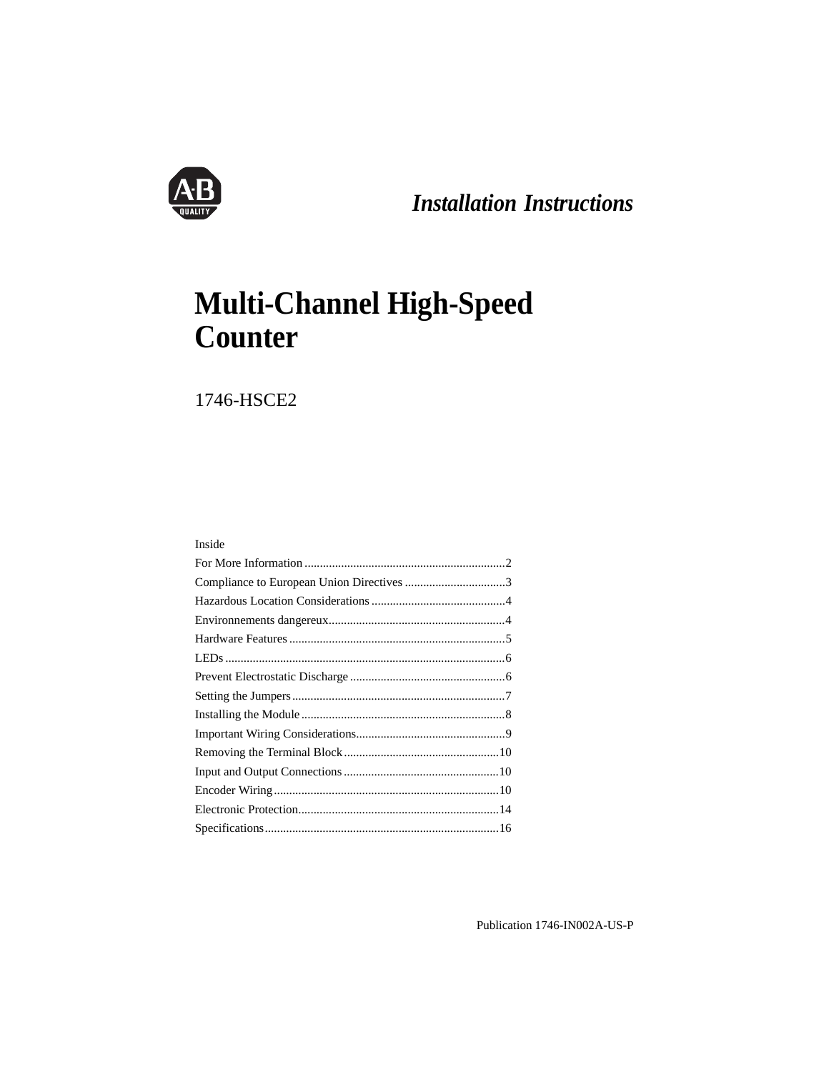

# *Installation Instructions*

# **Multi-Channel High-Speed Counter**

### 1746-HSCE2

| Inside |  |
|--------|--|
|        |  |
|        |  |
|        |  |
|        |  |
|        |  |
|        |  |
|        |  |
|        |  |
|        |  |
|        |  |
|        |  |
|        |  |
|        |  |
|        |  |
|        |  |
|        |  |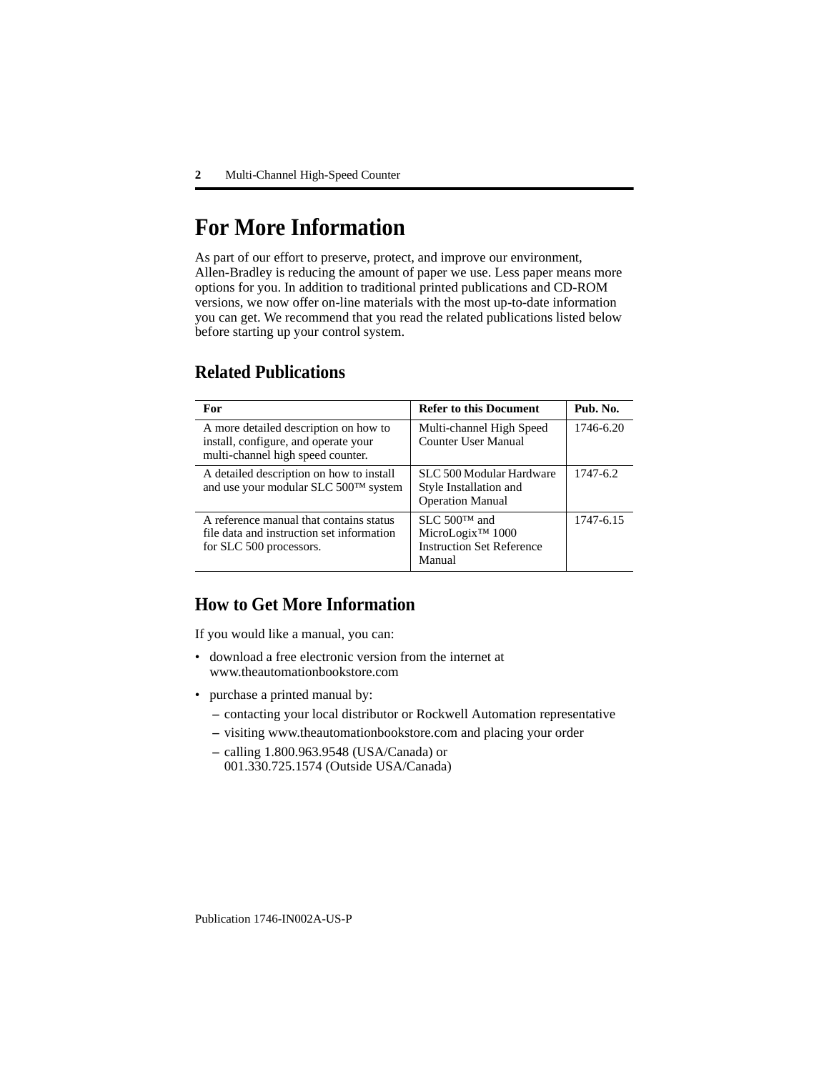# **For More Information**

As part of our effort to preserve, protect, and improve our environment, Allen-Bradley is reducing the amount of paper we use. Less paper means more options for you. In addition to traditional printed publications and CD-ROM versions, we now offer on-line materials with the most up-to-date information you can get. We recommend that you read the related publications listed below before starting up your control system.

#### **Related Publications**

| For                                                                                                                | <b>Refer to this Document</b>                                                                             | Pub. No.  |
|--------------------------------------------------------------------------------------------------------------------|-----------------------------------------------------------------------------------------------------------|-----------|
| A more detailed description on how to<br>install, configure, and operate your<br>multi-channel high speed counter. | Multi-channel High Speed<br>Counter User Manual                                                           | 1746-6.20 |
| A detailed description on how to install<br>and use your modular SLC 500™ system                                   | SLC 500 Modular Hardware<br>Style Installation and<br><b>Operation Manual</b>                             | 1747-6.2  |
| A reference manual that contains status<br>file data and instruction set information<br>for SLC 500 processors.    | $SLC$ 500 <sup>TM</sup> and<br>MicroLogix <sup>™</sup> 1000<br><b>Instruction Set Reference</b><br>Manual | 1747-6.15 |

#### **How to Get More Information**

If you would like a manual, you can:

- download a free electronic version from the internet at www.theautomationbookstore.com
- purchase a printed manual by:
	- **–** contacting your local distributor or Rockwell Automation representative
	- **–** visiting www.theautomationbookstore.com and placing your order
	- **–** calling 1.800.963.9548 (USA/Canada) or 001.330.725.1574 (Outside USA/Canada)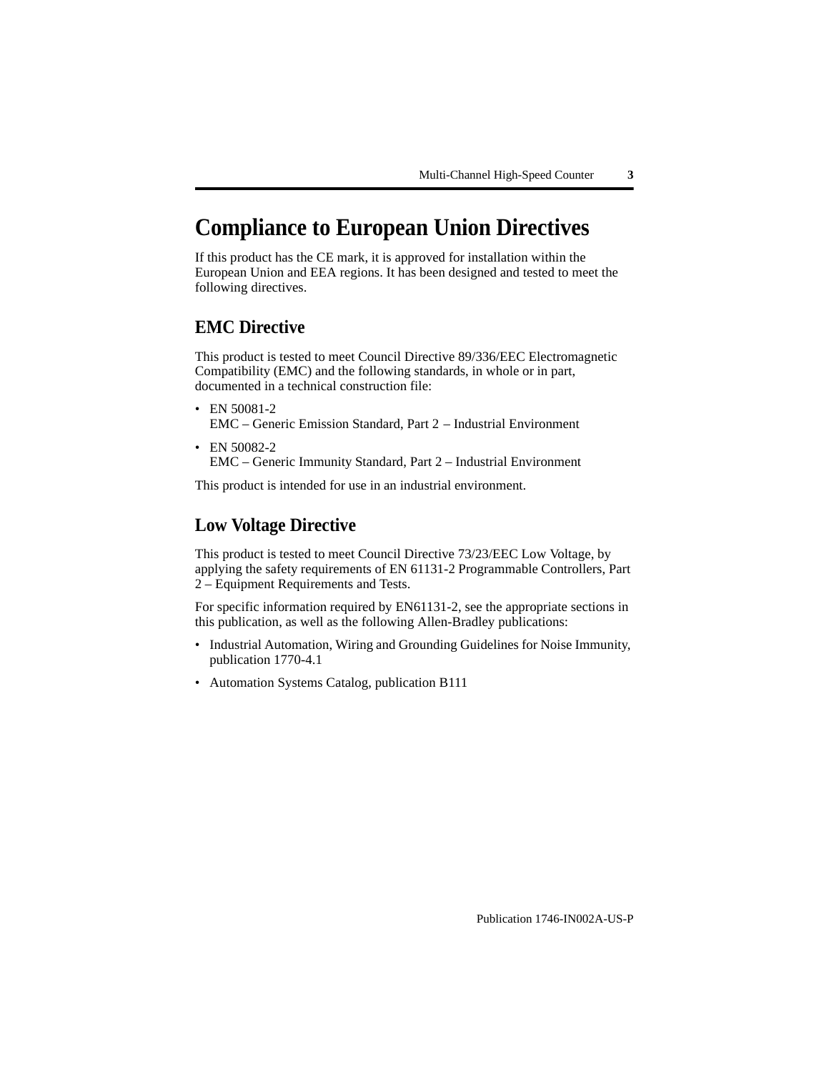# **Compliance to European Union Directives**

If this product has the CE mark, it is approved for installation within the European Union and EEA regions. It has been designed and tested to meet the following directives.

## **EMC Directive**

This product is tested to meet Council Directive 89/336/EEC Electromagnetic Compatibility (EMC) and the following standards, in whole or in part, documented in a technical construction file:

- EN 50081-2 EMC – Generic Emission Standard, Part 2 – Industrial Environment
- EN 50082-2 EMC – Generic Immunity Standard, Part 2 – Industrial Environment

This product is intended for use in an industrial environment.

## **Low Voltage Directive**

This product is tested to meet Council Directive 73/23/EEC Low Voltage, by applying the safety requirements of EN 61131-2 Programmable Controllers, Part 2 – Equipment Requirements and Tests.

For specific information required by EN61131-2, see the appropriate sections in this publication, as well as the following Allen-Bradley publications:

- Industrial Automation, Wiring and Grounding Guidelines for Noise Immunity, publication 1770-4.1
- Automation Systems Catalog, publication B111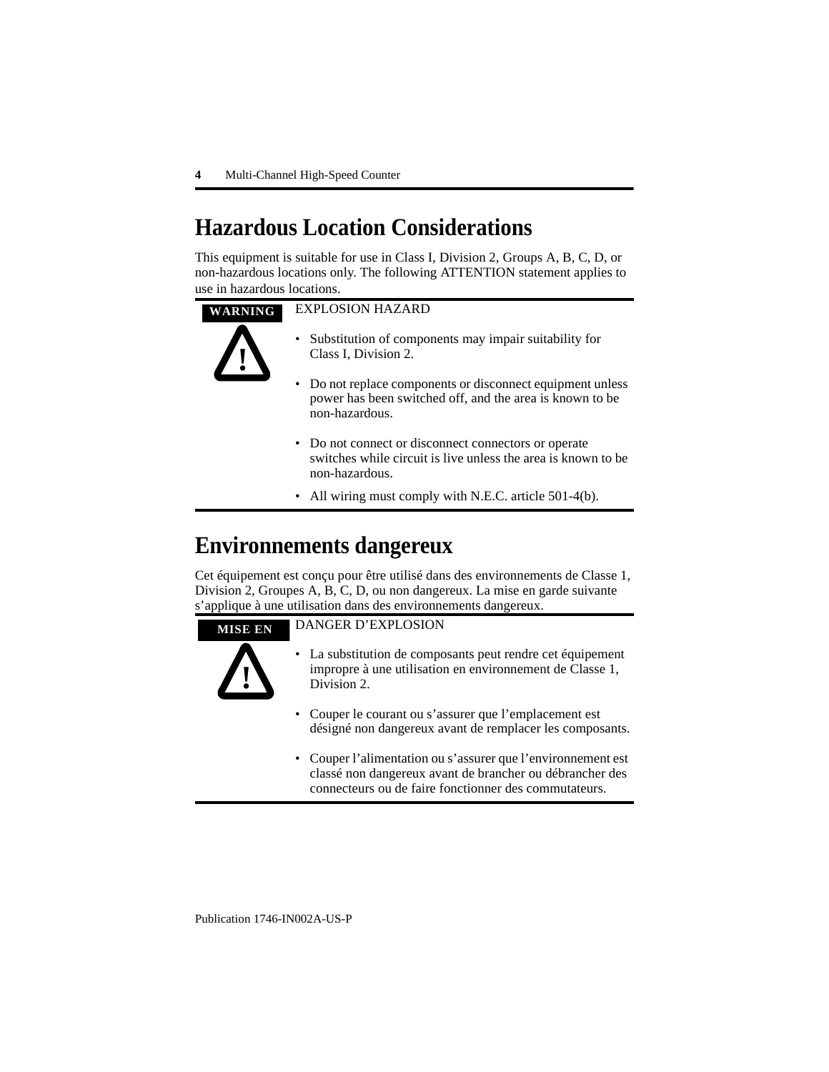# **Hazardous Location Considerations**

This equipment is suitable for use in Class I, Division 2, Groups A, B, C, D, or non-hazardous locations only. The following ATTENTION statement applies to use in hazardous locations.



- Do not connect or disconnect connectors or operate switches while circuit is live unless the area is known to be non-hazardous.
- All wiring must comply with N.E.C. article 501-4(b).

# **Environnements dangereux**

Cet équipement est conçu pour être utilisé dans des environnements de Classe 1, Division 2, Groupes A, B, C, D, ou non dangereux. La mise en garde suivante s'applique à une utilisation dans des environnements dangereux.



**MISE EN** DANGER D'EXPLOSION

- La substitution de composants peut rendre cet équipement impropre à une utilisation en environnement de Classe 1, Division 2.
- Couper le courant ou s'assurer que l'emplacement est désigné non dangereux avant de remplacer les composants.
- Couper l'alimentation ou s'assurer que l'environnement est classé non dangereux avant de brancher ou débrancher des connecteurs ou de faire fonctionner des commutateurs.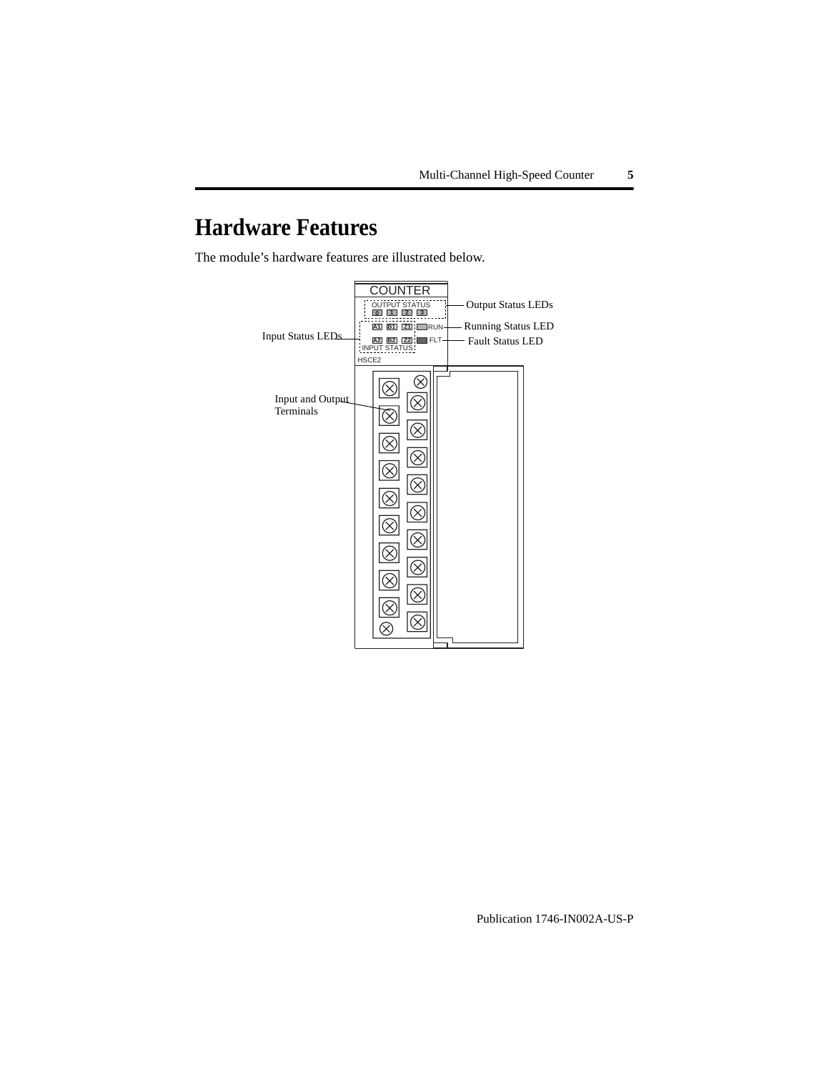# **Hardware Features**

The module's hardware features are illustrated below.

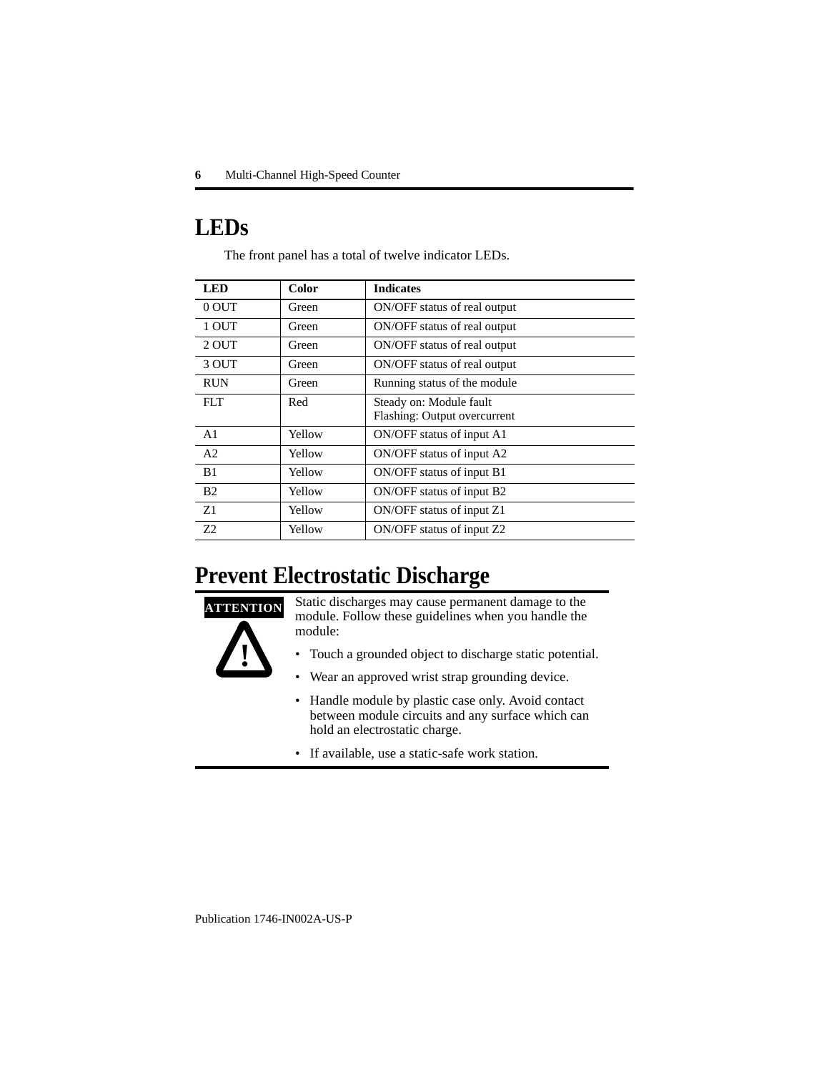# **LEDs**

| <b>LED</b>     | <b>Color</b> | <b>Indicates</b>                                        |
|----------------|--------------|---------------------------------------------------------|
| $0$ OUT        | Green        | ON/OFF status of real output                            |
| 1 OUT          | Green        | ON/OFF status of real output                            |
| 2 OUT          | Green        | ON/OFF status of real output                            |
| 3 OUT          | Green        | ON/OFF status of real output                            |
| <b>RUN</b>     | Green        | Running status of the module                            |
| <b>FLT</b>     | Red          | Steady on: Module fault<br>Flashing: Output overcurrent |
| A <sub>1</sub> | Yellow       | ON/OFF status of input A1                               |
| A <sub>2</sub> | Yellow       | ON/OFF status of input A2                               |
| B1             | Yellow       | ON/OFF status of input B1                               |
| B <sub>2</sub> | Yellow       | ON/OFF status of input B2                               |
| Z1             | Yellow       | ON/OFF status of input Z1                               |
| Z <sub>2</sub> | Yellow       | ON/OFF status of input Z2                               |

The front panel has a total of twelve indicator LEDs.

# **Prevent Electrostatic Discharge**



**ATTENTION** Static discharges may cause permanent damage to the module. Follow these guidelines when you handle the module:

- Touch a grounded object to discharge static potential.
- Wear an approved wrist strap grounding device.
- Handle module by plastic case only. Avoid contact between module circuits and any surface which can hold an electrostatic charge.
- If available, use a static-safe work station.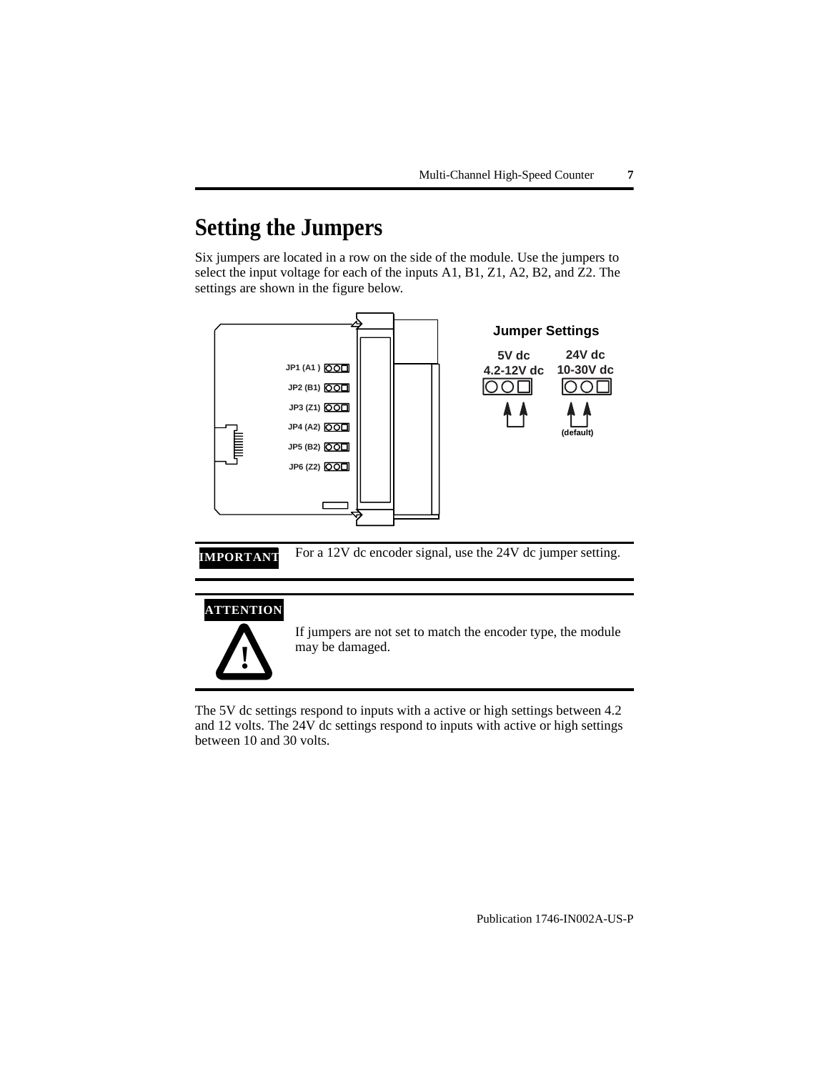# **Setting the Jumpers**

Six jumpers are located in a row on the side of the module. Use the jumpers to select the input voltage for each of the inputs A1, B1, Z1, A2, B2, and Z2. The settings are shown in the figure below.



**IMPORTANT** For a 12V dc encoder signal, use the 24V dc jumper setting.



If jumpers are not set to match the encoder type, the module may be damaged.

The 5V dc settings respond to inputs with a active or high settings between 4.2 and 12 volts. The 24V dc settings respond to inputs with active or high settings between 10 and 30 volts.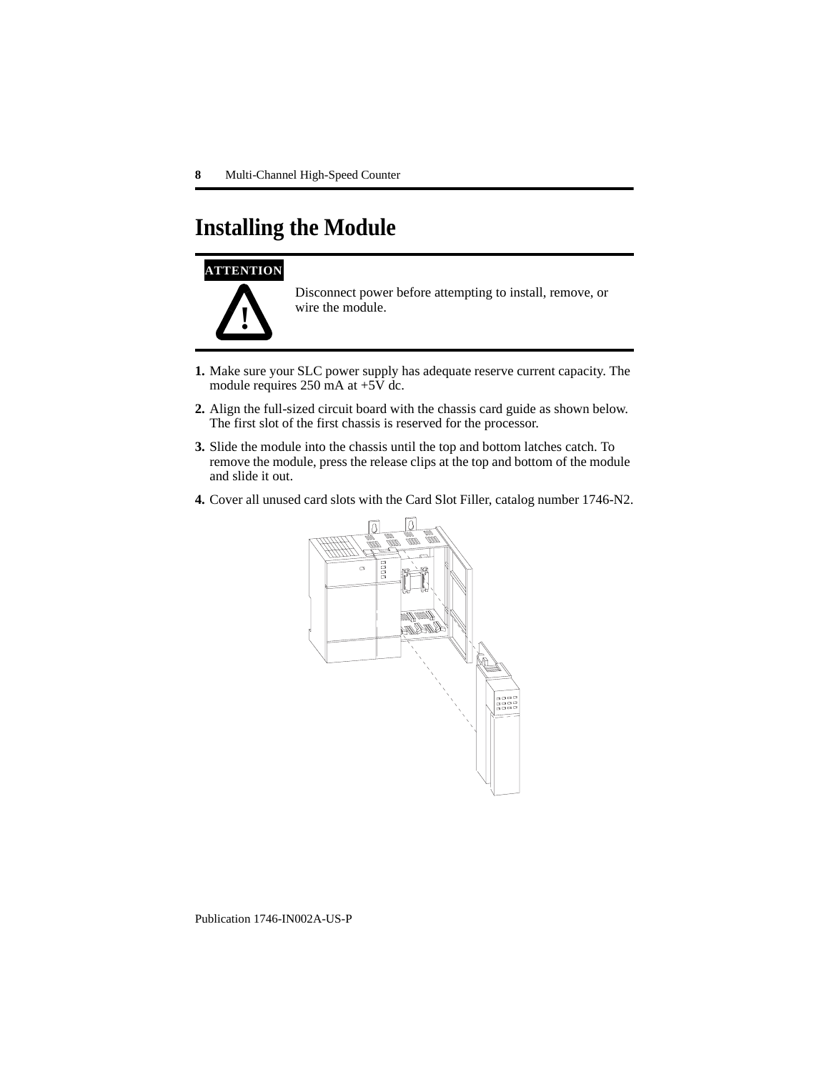# **Installing the Module**

#### **ATTENTION**



Disconnect power before attempting to install, remove, or wire the module.

- **1.** Make sure your SLC power supply has adequate reserve current capacity. The module requires 250 mA at +5V dc.
- **2.** Align the full-sized circuit board with the chassis card guide as shown below. The first slot of the first chassis is reserved for the processor.
- **3.** Slide the module into the chassis until the top and bottom latches catch. To remove the module, press the release clips at the top and bottom of the module and slide it out.
- **4.** Cover all unused card slots with the Card Slot Filler, catalog number 1746-N2.

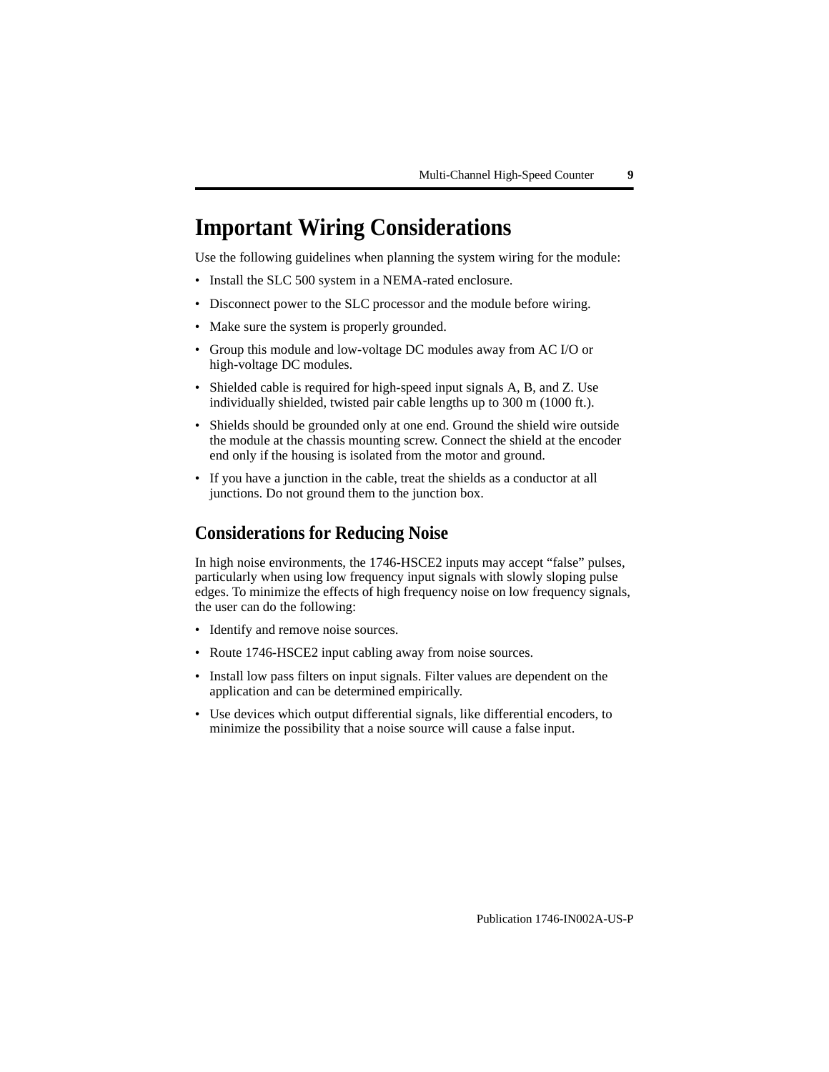# **Important Wiring Considerations**

Use the following guidelines when planning the system wiring for the module:

- Install the SLC 500 system in a NEMA-rated enclosure.
- Disconnect power to the SLC processor and the module before wiring.
- Make sure the system is properly grounded.
- Group this module and low-voltage DC modules away from AC I/O or high-voltage DC modules.
- Shielded cable is required for high-speed input signals A, B, and Z. Use individually shielded, twisted pair cable lengths up to 300 m (1000 ft.).
- Shields should be grounded only at one end. Ground the shield wire outside the module at the chassis mounting screw. Connect the shield at the encoder end only if the housing is isolated from the motor and ground.
- If you have a junction in the cable, treat the shields as a conductor at all junctions. Do not ground them to the junction box.

#### **Considerations for Reducing Noise**

In high noise environments, the 1746-HSCE2 inputs may accept "false" pulses, particularly when using low frequency input signals with slowly sloping pulse edges. To minimize the effects of high frequency noise on low frequency signals, the user can do the following:

- Identify and remove noise sources.
- Route 1746-HSCE2 input cabling away from noise sources.
- Install low pass filters on input signals. Filter values are dependent on the application and can be determined empirically.
- Use devices which output differential signals, like differential encoders, to minimize the possibility that a noise source will cause a false input.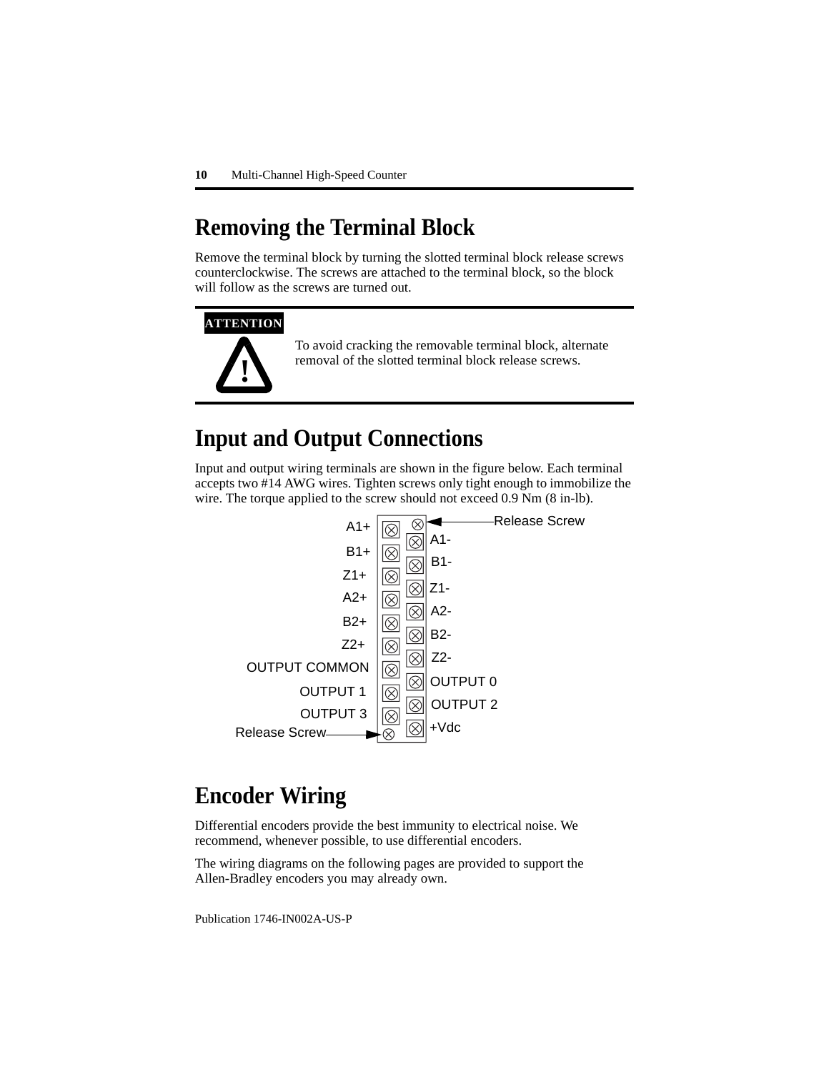# **Removing the Terminal Block**

Remove the terminal block by turning the slotted terminal block release screws counterclockwise. The screws are attached to the terminal block, so the block will follow as the screws are turned out.



To avoid cracking the removable terminal block, alternate removal of the slotted terminal block release screws.

# **Input and Output Connections**

Input and output wiring terminals are shown in the figure below. Each terminal accepts two #14 AWG wires. Tighten screws only tight enough to immobilize the wire. The torque applied to the screw should not exceed 0.9 Nm (8 in-lb).



# **Encoder Wiring**

Differential encoders provide the best immunity to electrical noise. We recommend, whenever possible, to use differential encoders.

The wiring diagrams on the following pages are provided to support the Allen-Bradley encoders you may already own.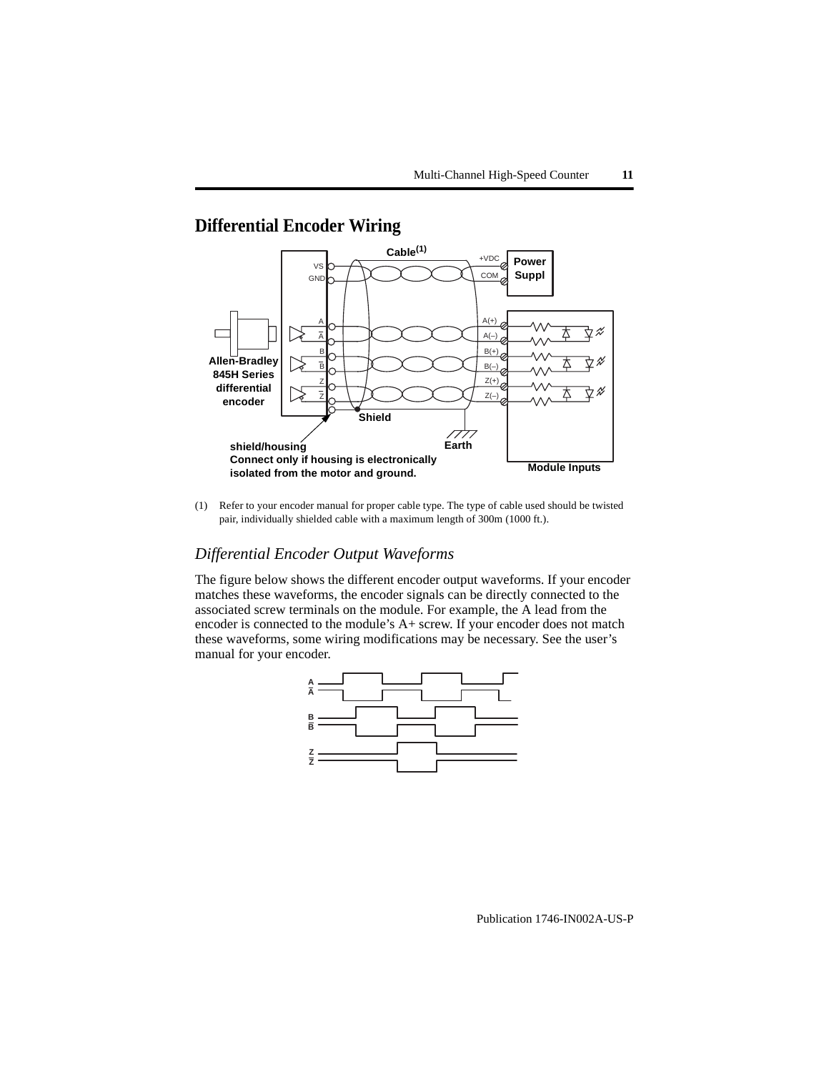## **Differential Encoder Wiring**



(1) Refer to your encoder manual for proper cable type. The type of cable used should be twisted pair, individually shielded cable with a maximum length of 300m (1000 ft.).

#### *Differential Encoder Output Waveforms*

The figure below shows the different encoder output waveforms. If your encoder matches these waveforms, the encoder signals can be directly connected to the associated screw terminals on the module. For example, the A lead from the encoder is connected to the module's A+ screw. If your encoder does not match these waveforms, some wiring modifications may be necessary. See the user's manual for your encoder.

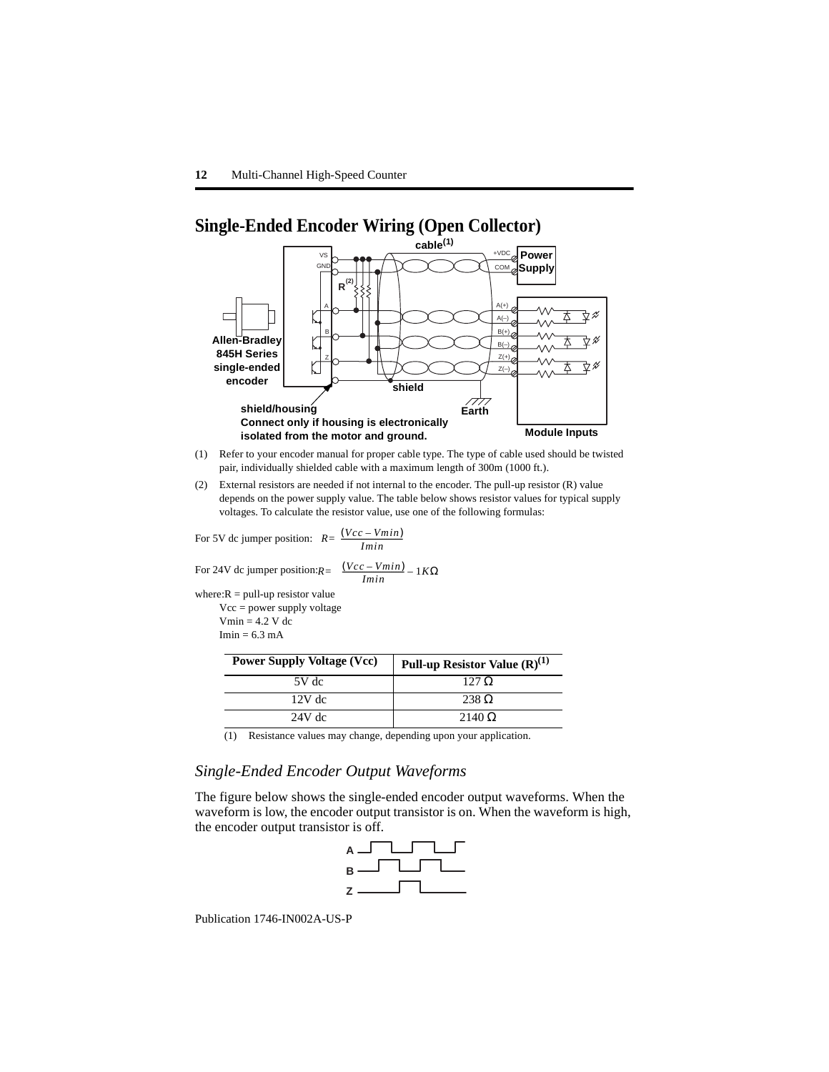

#### **Single-Ended Encoder Wiring (Open Collector)**

- (1) Refer to your encoder manual for proper cable type. The type of cable used should be twisted pair, individually shielded cable with a maximum length of 300m (1000 ft.).
- (2) External resistors are needed if not internal to the encoder. The pull-up resistor (R) value depends on the power supply value. The table below shows resistor values for typical supply voltages. To calculate the resistor value, use one of the following formulas:

For 5V dc jumper position:  $R = \frac{(Vcc - Vmin)}{Imin}$ 

For 24V dc jumper position: $R = \left( \frac{(Vcc - Vmin)}{Imin} - 1K\Omega \right)$ 

where: $R = \text{pull-up resistor value}$  $Vec = power$  supply voltage  $V<sub>min</sub> = 4.2 V$  dc  $Imin = 6.3 mA$ 

| <b>Power Supply Voltage (Vcc)</b> | Pull-up Resistor Value $(R)^{(1)}$ |
|-----------------------------------|------------------------------------|
| 5V dc                             | $127 \Omega$                       |
| $12V$ dc                          | $238 \Omega$                       |
| $24V$ dc                          | $2140 \Omega$                      |

(1) Resistance values may change, depending upon your application.

#### *Single-Ended Encoder Output Waveforms*

The figure below shows the single-ended encoder output waveforms. When the waveform is low, the encoder output transistor is on. When the waveform is high, the encoder output transistor is off.

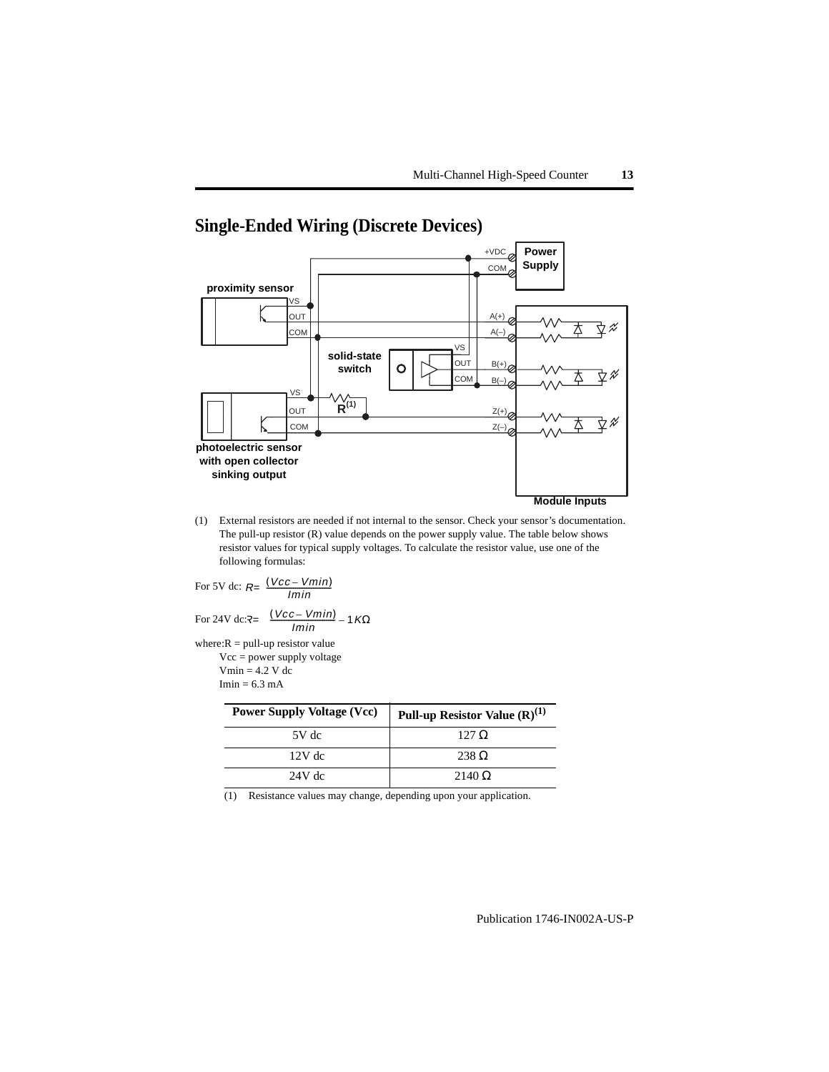

#### **Single-Ended Wiring (Discrete Devices)**

(1) External resistors are needed if not internal to the sensor. Check your sensor's documentation. The pull-up resistor (R) value depends on the power supply value. The table below shows resistor values for typical supply voltages. To calculate the resistor value, use one of the following formulas:

For 5V dc: 
$$
R = \frac{(Vcc - Vmin)}{Imin}
$$
  
For 24V dc:  $q = \frac{Vcc - Vmin}{I} - 1k$ 

where: $R =$  pull-up resistor value  $Vcc = power$  supply voltage <u>C – VIIIIII)</u><br>Imin

 $V<sub>min</sub> = 4.2 V <sub>dc</sub>$  $Imin = 6.3 mA$ 

| <b>Power Supply Voltage (Vcc)</b> | Pull-up Resistor Value $(R)^{(1)}$ |
|-----------------------------------|------------------------------------|
| 5V dc                             | $127 \Omega$                       |
| $12V$ dc                          | $238 \Omega$                       |
| $24V$ dc                          | $2140 \Omega$                      |

(1) Resistance values may change, depending upon your application.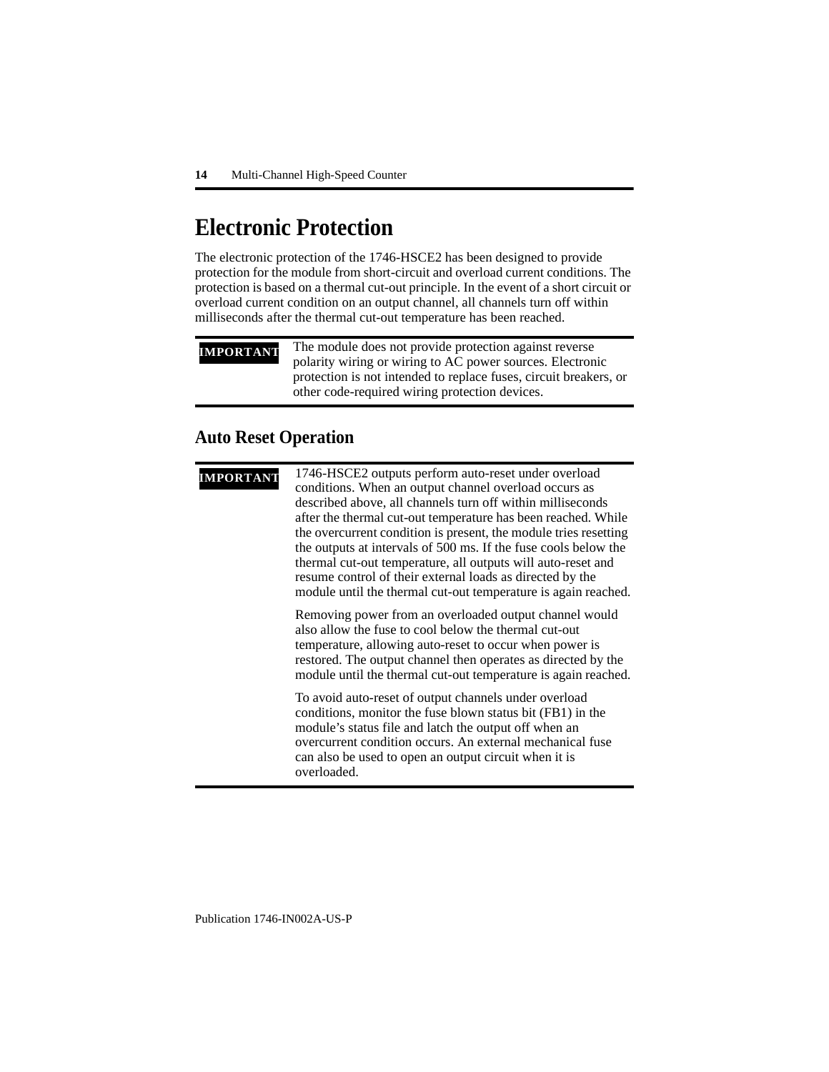# **Electronic Protection**

The electronic protection of the 1746-HSCE2 has been designed to provide protection for the module from short-circuit and overload current conditions. The protection is based on a thermal cut-out principle. In the event of a short circuit or overload current condition on an output channel, all channels turn off within milliseconds after the thermal cut-out temperature has been reached.

**IMPORTANT** The module does not provide protection against reverse polarity wiring or wiring to AC power sources. Electronic protection is not intended to replace fuses, circuit breakers, or other code-required wiring protection devices.

#### **Auto Reset Operation**

**IMPORTANT** 1746-HSCE2 outputs perform auto-reset under overload conditions. When an output channel overload occurs as described above, all channels turn off within milliseconds after the thermal cut-out temperature has been reached. While the overcurrent condition is present, the module tries resetting the outputs at intervals of 500 ms. If the fuse cools below the thermal cut-out temperature, all outputs will auto-reset and resume control of their external loads as directed by the module until the thermal cut-out temperature is again reached.

> Removing power from an overloaded output channel would also allow the fuse to cool below the thermal cut-out temperature, allowing auto-reset to occur when power is restored. The output channel then operates as directed by the module until the thermal cut-out temperature is again reached.

To avoid auto-reset of output channels under overload conditions, monitor the fuse blown status bit (FB1) in the module's status file and latch the output off when an overcurrent condition occurs. An external mechanical fuse can also be used to open an output circuit when it is overloaded.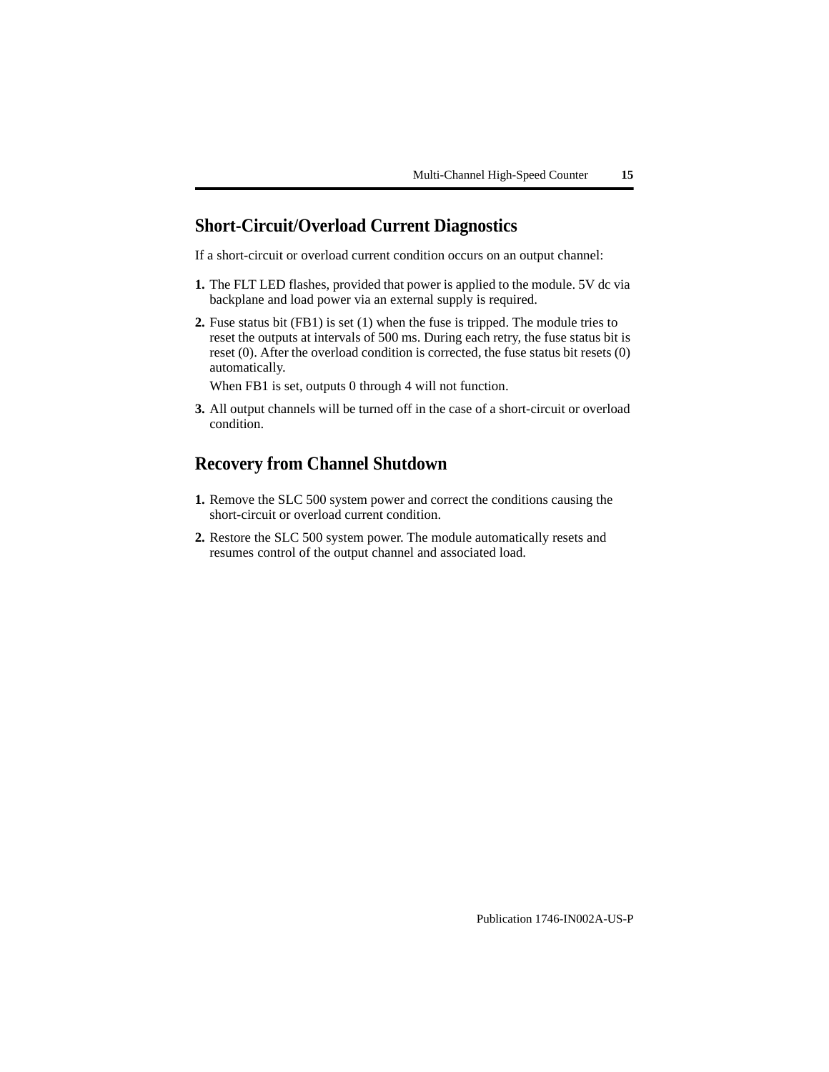#### **Short-Circuit/Overload Current Diagnostics**

If a short-circuit or overload current condition occurs on an output channel:

- **1.** The FLT LED flashes, provided that power is applied to the module. 5V dc via backplane and load power via an external supply is required.
- **2.** Fuse status bit (FB1) is set (1) when the fuse is tripped. The module tries to reset the outputs at intervals of 500 ms. During each retry, the fuse status bit is reset (0). After the overload condition is corrected, the fuse status bit resets (0) automatically.

When FB1 is set, outputs 0 through 4 will not function.

**3.** All output channels will be turned off in the case of a short-circuit or overload condition.

#### **Recovery from Channel Shutdown**

- **1.** Remove the SLC 500 system power and correct the conditions causing the short-circuit or overload current condition.
- **2.** Restore the SLC 500 system power. The module automatically resets and resumes control of the output channel and associated load.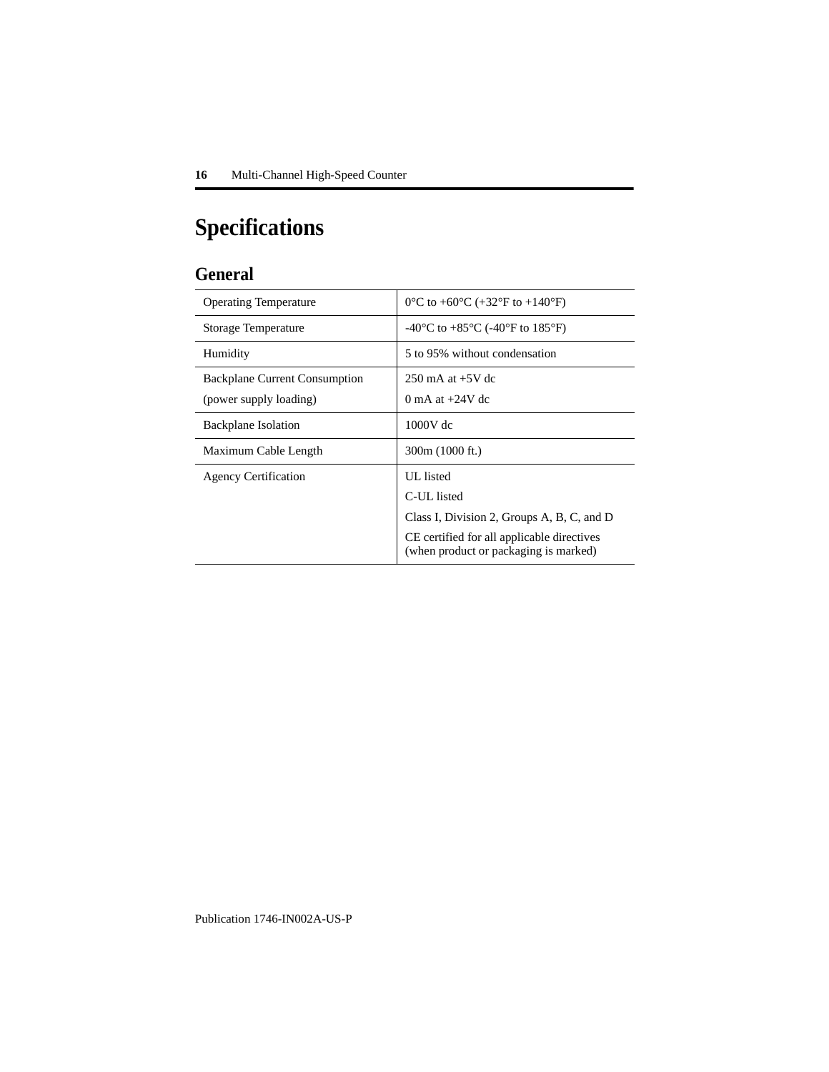# **Specifications**

## **General**

| <b>Operating Temperature</b>         | 0°C to +60°C (+32°F to +140°F)                                                      |
|--------------------------------------|-------------------------------------------------------------------------------------|
| Storage Temperature                  | -40 $^{\circ}$ C to +85 $^{\circ}$ C (-40 $^{\circ}$ F to 185 $^{\circ}$ F)         |
| Humidity                             | 5 to 95% without condensation                                                       |
| <b>Backplane Current Consumption</b> | $250 \text{ mA}$ at $+5V$ dc                                                        |
| (power supply loading)               | 0 mA at $+24V$ dc                                                                   |
| Backplane Isolation                  | 1000V dc                                                                            |
| Maximum Cable Length                 | 300m(1000 ft.)                                                                      |
| <b>Agency Certification</b>          | <b>UL</b> listed                                                                    |
|                                      | C-UL listed                                                                         |
|                                      | Class I, Division 2, Groups A, B, C, and D                                          |
|                                      | CE certified for all applicable directives<br>(when product or packaging is marked) |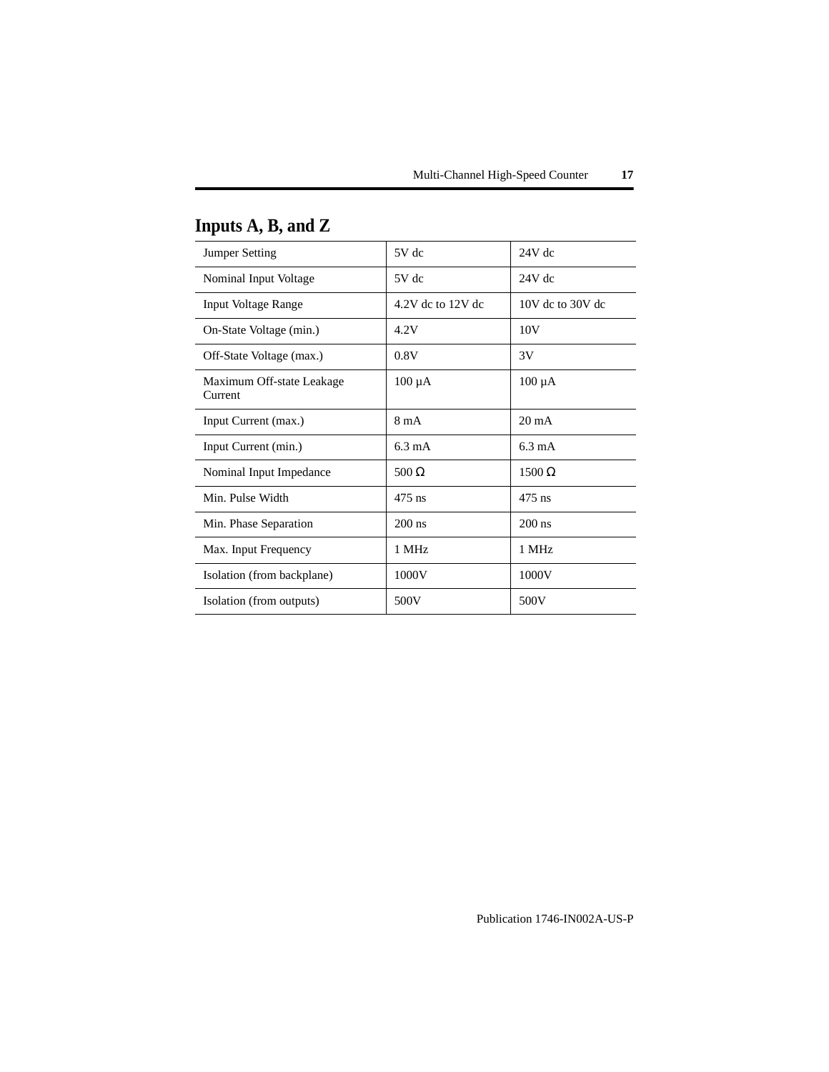| <b>Jumper Setting</b>                | 5V dc                 | $24V$ dc             |
|--------------------------------------|-----------------------|----------------------|
| Nominal Input Voltage                | 5V dc                 | $24V$ dc             |
| Input Voltage Range                  | $4.2V$ de to $12V$ de | $10V$ de to $30V$ de |
| On-State Voltage (min.)              | 4.2V                  | 10 <sub>V</sub>      |
| Off-State Voltage (max.)             | 0.8V                  | 3V                   |
| Maximum Off-state Leakage<br>Current | $100 \mu A$           | $100 \mu A$          |
| Input Current (max.)                 | $8 \text{ mA}$        | $20 \text{ mA}$      |
| Input Current (min.)                 | $6.3 \text{ mA}$      | $6.3 \text{ mA}$     |
| Nominal Input Impedance              | 500 $\Omega$          | $1500 \Omega$        |
| Min. Pulse Width                     | $475$ ns              | $475$ ns             |
| Min. Phase Separation                | $200$ ns              | $200$ ns             |
| Max. Input Frequency                 | 1 MHz                 | 1 MHz                |
| Isolation (from backplane)           | 1000V                 | 1000V                |
| Isolation (from outputs)             | 500V                  | 500V                 |

## **Inputs A, B, and Z**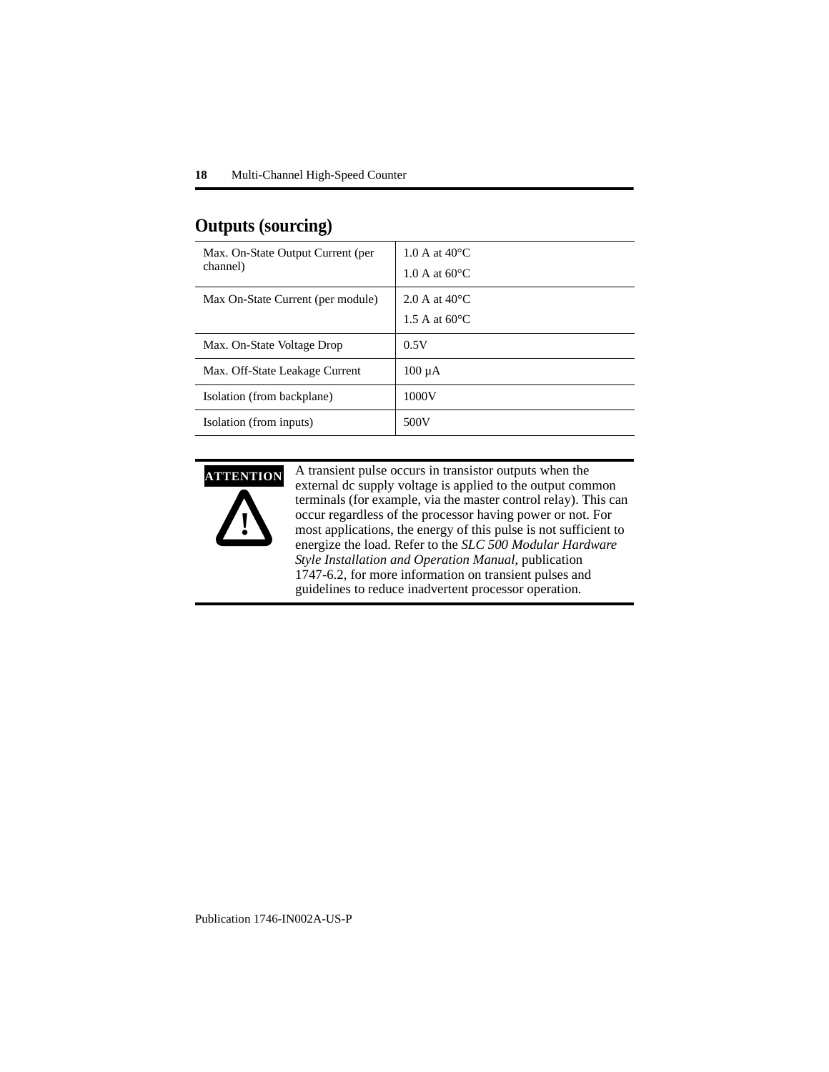#### **Outputs (sourcing)**

| Max. On-State Output Current (per<br>channel) | $1.0 A$ at $40^{\circ}$ C<br>$1.0 A$ at 60 $\degree$ C |
|-----------------------------------------------|--------------------------------------------------------|
| Max On-State Current (per module)             | 2.0 A at $40^{\circ}$ C<br>1.5 A at $60^{\circ}$ C     |
| Max. On-State Voltage Drop                    | 0.5V                                                   |
| Max. Off-State Leakage Current                | $100 \mu A$                                            |
| Isolation (from backplane)                    | 1000V                                                  |
| Isolation (from inputs)                       | 500V                                                   |



**ATTENTION** A transient pulse occurs in transistor outputs when the external dc supply voltage is applied to the output common terminals (for example, via the master control relay). This can occur regardless of the processor having power or not. For most applications, the energy of this pulse is not sufficient to energize the load. Refer to the *SLC 500 Modular Hardware Style Installation and Operation Manual*, publication 1747-6.2, for more information on transient pulses and guidelines to reduce inadvertent processor operation.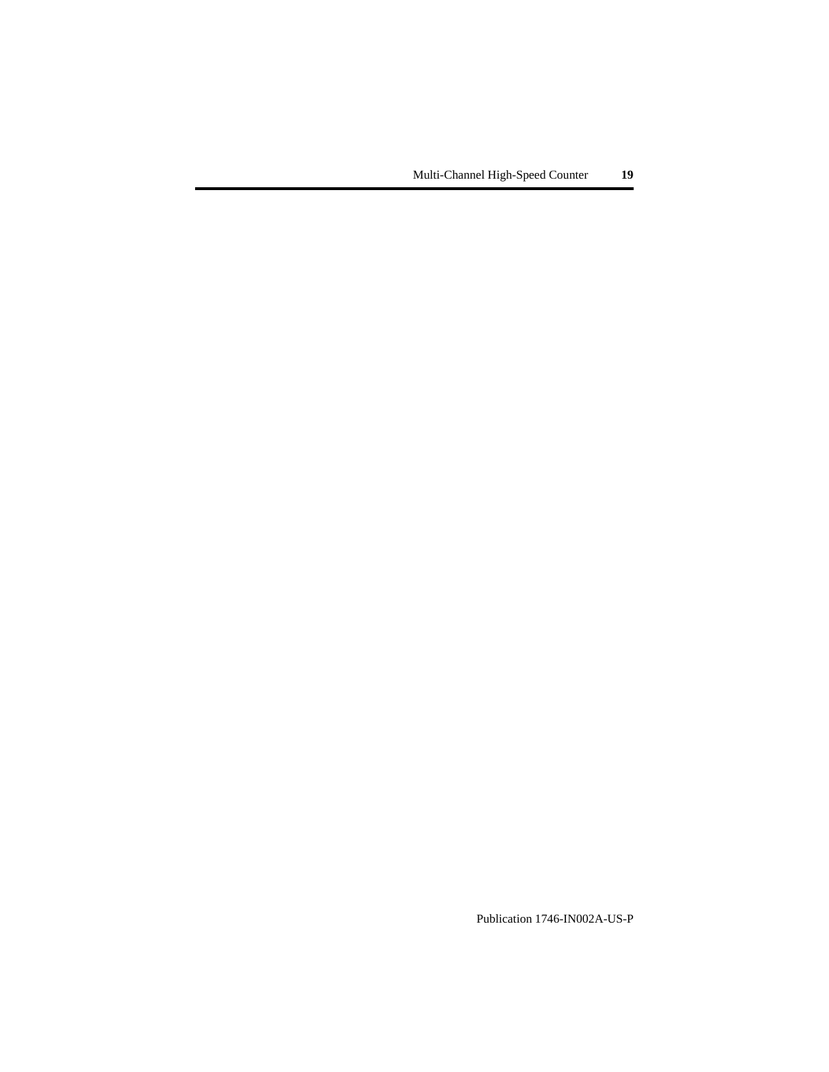Publication 1746-IN002A-US-P